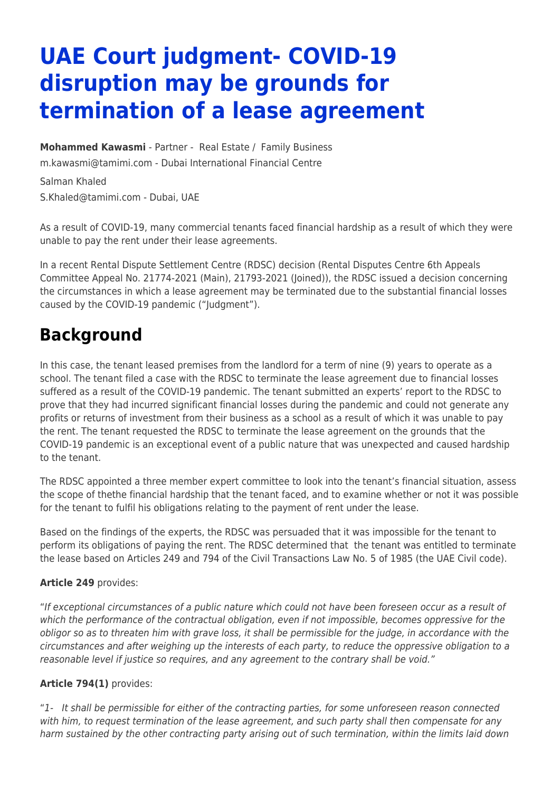# **UAE Court judgment- COVID-19 disruption may be grounds for termination of a lease agreement**

**[Mohammed Kawasmi](https://www.tamimi.com/find-a-lawyer/mohammed-kawasmi/)** - Partner - [Real Estate](https://www.tamimi.com/client-services/practices/real-estate/) / [Family Business](https://www.tamimi.com/client-services/practices/family-business/) [m.kawasmi@tamimi.com](mailto:m.kawasmi@tamimi.com) - [Dubai International Financial Centre](https://www.tamimi.com/locations/uae/)

Salman Khaled [S.Khaled@tamimi.com](mailto:S.Khaled@tamimi.com) - Dubai, UAE

As a result of COVID-19, many commercial tenants faced financial hardship as a result of which they were unable to pay the rent under their lease agreements.

In a recent Rental Dispute Settlement Centre (RDSC) decision (Rental Disputes Centre 6th Appeals Committee Appeal No. 21774-2021 (Main), 21793-2021 (Joined)), the RDSC issued a decision concerning the circumstances in which a lease agreement may be terminated due to the substantial financial losses caused by the COVID-19 pandemic ("Judgment").

### **Background**

In this case, the tenant leased premises from the landlord for a term of nine (9) years to operate as a school. The tenant filed a case with the RDSC to terminate the lease agreement due to financial losses suffered as a result of the COVID-19 pandemic. The tenant submitted an experts' report to the RDSC to prove that they had incurred significant financial losses during the pandemic and could not generate any profits or returns of investment from their business as a school as a result of which it was unable to pay the rent. The tenant requested the RDSC to terminate the lease agreement on the grounds that the COVID-19 pandemic is an exceptional event of a public nature that was unexpected and caused hardship to the tenant.

The RDSC appointed a three member expert committee to look into the tenant's financial situation, assess the scope of thethe financial hardship that the tenant faced, and to examine whether or not it was possible for the tenant to fulfil his obligations relating to the payment of rent under the lease.

Based on the findings of the experts, the RDSC was persuaded that it was impossible for the tenant to perform its obligations of paying the rent. The RDSC determined that the tenant was entitled to terminate the lease based on Articles 249 and 794 of the Civil Transactions Law No. 5 of 1985 (the UAE Civil code).

#### **Article 249** provides:

"If exceptional circumstances of a public nature which could not have been foreseen occur as a result of which the performance of the contractual obligation, even if not impossible, becomes oppressive for the obligor so as to threaten him with grave loss, it shall be permissible for the judge, in accordance with the circumstances and after weighing up the interests of each party, to reduce the oppressive obligation to a reasonable level if justice so requires, and any agreement to the contrary shall be void."

#### **Article 794(1)** provides:

"1- It shall be permissible for either of the contracting parties, for some unforeseen reason connected with him, to request termination of the lease agreement, and such party shall then compensate for any harm sustained by the other contracting party arising out of such termination, within the limits laid down